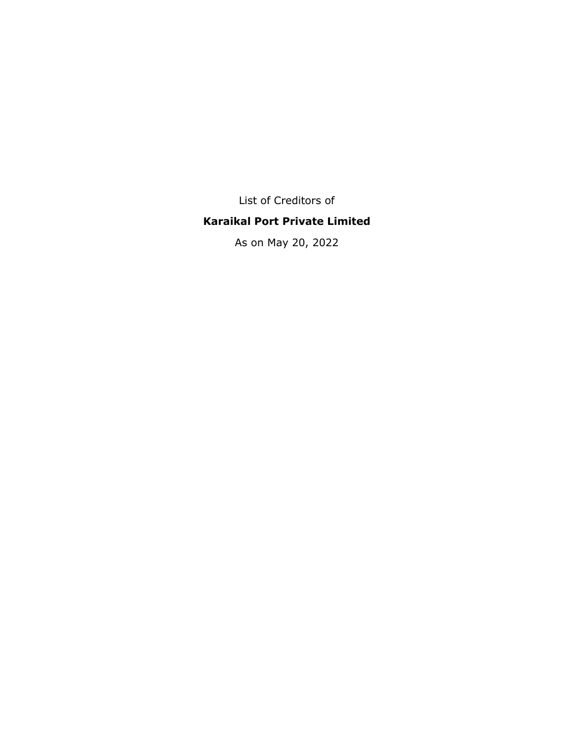List of Creditors of

## **Karaikal Port Private Limited**

As on May 20, 2022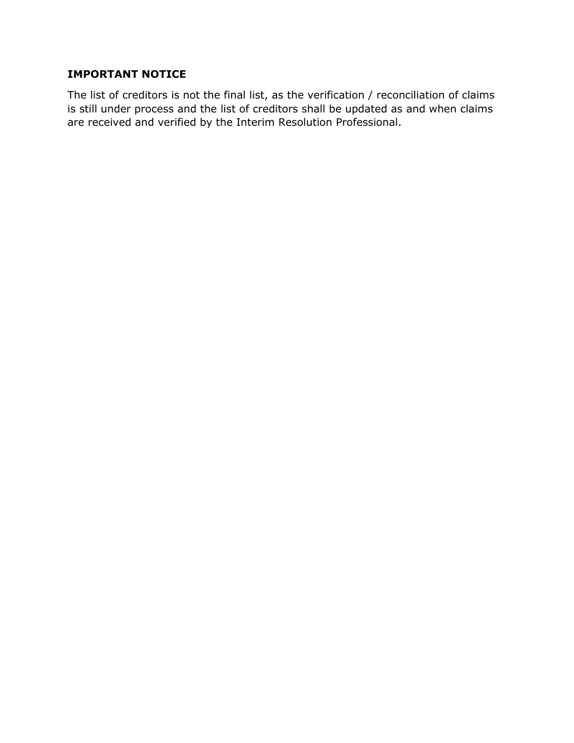## **IMPORTANT NOTICE**

The list of creditors is not the final list, as the verification / reconciliation of claims is still under process and the list of creditors shall be updated as and when claims are received and verified by the Interim Resolution Professional.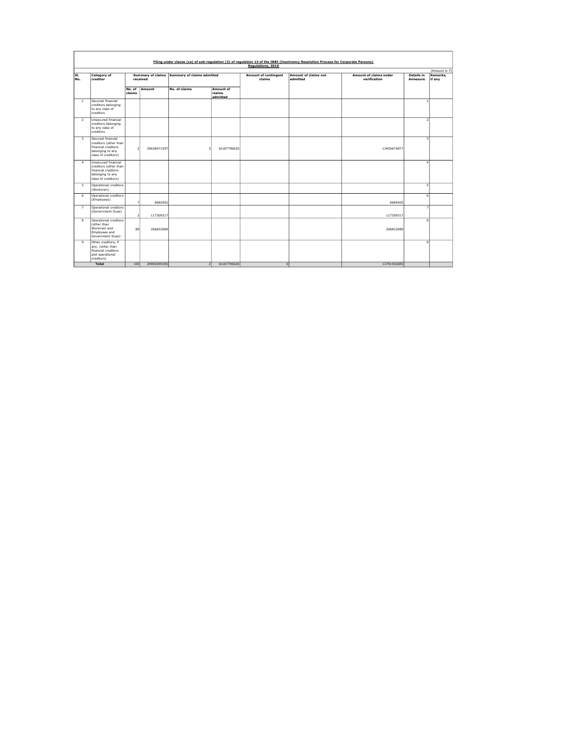|                         | Filing under clause (ca) of sub-regulation (2) of regulation 13 of the IBBI (Insolvency Resolution Process for Corporate Persons) |                  |                                      |                            |                                 |                                       |                                  |                                               |                               |                                    |  |  |  |  |
|-------------------------|-----------------------------------------------------------------------------------------------------------------------------------|------------------|--------------------------------------|----------------------------|---------------------------------|---------------------------------------|----------------------------------|-----------------------------------------------|-------------------------------|------------------------------------|--|--|--|--|
|                         |                                                                                                                                   |                  |                                      |                            |                                 | Regulations, 2016                     |                                  |                                               |                               |                                    |  |  |  |  |
| SI.<br>No.              | <b>Category of</b><br>creditor                                                                                                    |                  | <b>Summary of claims</b><br>received | Summary of claims admitted |                                 | <b>Amount of contingent</b><br>claims | Amount of claims not<br>admitted | <b>Amount of claims under</b><br>verification | <b>Details in</b><br>Annexure | (Amount in ₹<br>Remarks.<br>if any |  |  |  |  |
|                         |                                                                                                                                   | No. of<br>claims | Amount                               | No. of claims              | Amount of<br>claims<br>admitted |                                       |                                  |                                               |                               |                                    |  |  |  |  |
| $\mathbf{1}$            | Secured financial<br>creditors belonging<br>to any class of<br>creditors                                                          |                  |                                      |                            |                                 |                                       |                                  |                                               | $\overline{1}$                |                                    |  |  |  |  |
| $\overline{2}$          | Unsecured financial<br>creditors belonging<br>to any class of<br>creditors                                                        |                  |                                      |                            |                                 |                                       |                                  |                                               | $\overline{2}$                |                                    |  |  |  |  |
| $\overline{\mathbf{3}}$ | Secured financial<br>creditors (other than<br>financial creditors<br>belonging to any<br>class of creditors)                      | $\mathcal{P}$    | 29638471597                          | $\mathcal{P}$              | 16187796620                     |                                       |                                  | 13450674977                                   | $\overline{\mathbf{3}}$       |                                    |  |  |  |  |
| $\sim$                  | Unsecured financial<br>creditors (other than<br>financial creditors<br>belonging to any<br>class of creditors)                    |                  |                                      |                            |                                 |                                       |                                  |                                               | $\overline{a}$                |                                    |  |  |  |  |
| 5                       | Operational creditors<br>(Workmen)                                                                                                |                  |                                      |                            |                                 |                                       |                                  |                                               | $\overline{\phantom{a}}$      |                                    |  |  |  |  |
| 6                       | Operational creditors<br>(Employees)                                                                                              | ٠                | 6685402                              |                            |                                 |                                       |                                  | 6685402                                       | 6                             |                                    |  |  |  |  |
| $\overline{z}$          | Operational creditors<br>(Government Dues)                                                                                        | $\mathcal{P}$    | 117309317                            |                            |                                 |                                       |                                  | 117309317                                     | $\overline{7}$                |                                    |  |  |  |  |
| 8                       | Operational creditors<br>(other than<br>Workmen and<br>Employees and<br>Government Dues)                                          | 89               | 206832989                            |                            |                                 |                                       |                                  | 206832989                                     | $\overline{\mathbf{8}}$       |                                    |  |  |  |  |
| $\overline{9}$          | Other creditors, if<br>any, (other than<br>financial creditors<br>and operational<br>creditors)                                   |                  |                                      |                            |                                 |                                       |                                  |                                               | $\overline{9}$                |                                    |  |  |  |  |
|                         | <b>Total</b>                                                                                                                      | 100              | 29969299305                          | $\overline{2}$             | 16187796620                     | $\Omega$                              |                                  | 13781502685                                   |                               |                                    |  |  |  |  |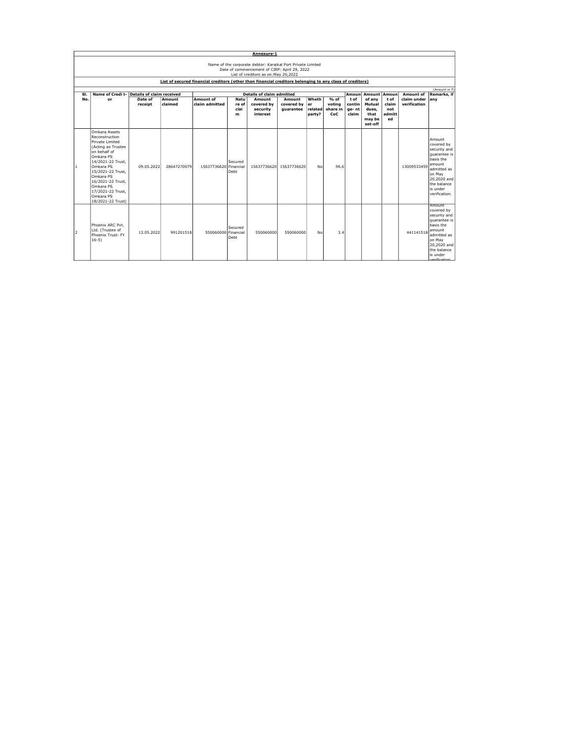|              | Annexure-1                                                                                                                                                                                                                                                         |                    |                   |                             |                                   |                                              |                                   |                                  |                                   |                                 |                                                        |                                     |                             |                                                                                                                                                                     |  |  |  |
|--------------|--------------------------------------------------------------------------------------------------------------------------------------------------------------------------------------------------------------------------------------------------------------------|--------------------|-------------------|-----------------------------|-----------------------------------|----------------------------------------------|-----------------------------------|----------------------------------|-----------------------------------|---------------------------------|--------------------------------------------------------|-------------------------------------|-----------------------------|---------------------------------------------------------------------------------------------------------------------------------------------------------------------|--|--|--|
|              | Name of the corporate debtor: Karaikal Port Private Limited<br>Date of commencement of CIRP: April 29, 2022<br>List of creditors as on: May 20, 2022<br>List of secured financial creditors (other than financial creditors belonging to any class of creditors)   |                    |                   |                             |                                   |                                              |                                   |                                  |                                   |                                 |                                                        |                                     |                             |                                                                                                                                                                     |  |  |  |
|              |                                                                                                                                                                                                                                                                    |                    |                   |                             |                                   |                                              |                                   |                                  |                                   |                                 |                                                        |                                     |                             | (Amount in ₹)                                                                                                                                                       |  |  |  |
| SI.          | Name of Credi t- Details of claim received                                                                                                                                                                                                                         |                    |                   |                             |                                   | <b>Details of claim admitted</b>             |                                   |                                  |                                   | Amoun                           | <b>Amount Amoun</b>                                    |                                     | Amount of                   | Remarks, if                                                                                                                                                         |  |  |  |
| No.          | or                                                                                                                                                                                                                                                                 | Date of<br>receipt | Amount<br>claimed | Amount of<br>claim admitted | <b>Natu</b><br>re of<br>clai<br>m | Amount<br>covered by<br>security<br>interest | Amount<br>covered by<br>guarantee | Wheth<br>er<br>related<br>party? | % of<br>votina<br>share in<br>CoC | tof<br>contin<br>ge-nt<br>claim | of anv<br>Mutual<br>dues.<br>that<br>may be<br>set-off | tof<br>claim<br>not<br>admitt<br>ed | claim under<br>verification | any                                                                                                                                                                 |  |  |  |
| $\mathbf{1}$ | Omkara Assets<br>Reconstruction<br>Private Limited<br>(Acting as Trustee<br>on behalf of<br>Omkara PS<br>14/2021-22 Trust.<br>Omkara PS<br>15/2021-22 Trust.<br>Omkara PS<br>16/2021-22 Trust.<br>Omkara PS<br>17/2021-22 Trust.<br>Omkara PS<br>18/2021-22 Trust) | 09.05.2022         | 28647270079       | 15637736620 Financial       | Secured<br><b>Debt</b>            | 15637736620                                  | 15637736620                       | No                               | 96.6                              |                                 |                                                        |                                     | 13009533459                 | Amount<br>covered by<br>security and<br>quarantee is<br>basis the<br>amount<br>admitted as<br>on May<br>20,2020 and<br>the balance<br>is under<br>verification.     |  |  |  |
| 12           | Phoenix ARC Pvt.<br>Ltd. (Trustee of<br>Phoenix Trust-FY<br>$16-5)$                                                                                                                                                                                                | 13.05.2022         | 991201518         | 550060000 Financial         | Secured<br>Deht                   | 550060000                                    | 550060000                         | No                               | 3.4                               |                                 |                                                        |                                     | 441141518                   | Amount<br>covered by<br>security and<br>quarantee is<br>basis the<br>amount<br>admitted as<br>on May<br>20,2020 and<br>the balance<br>is under<br><b>Indiantion</b> |  |  |  |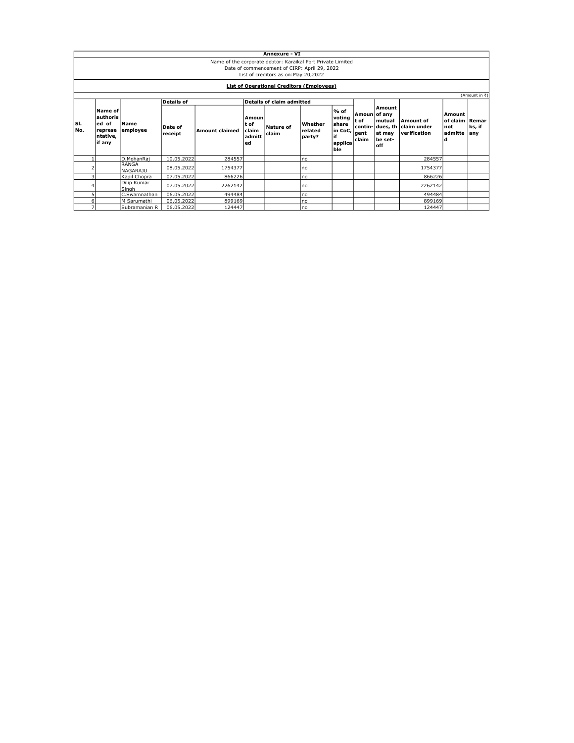|             | <b>Annexure - VI</b>                                                                                                                                |                                 |                    |                       |                                                |                                  |                              |                                                              |                                                  |                                                          |                                          |                                                   |                |  |
|-------------|-----------------------------------------------------------------------------------------------------------------------------------------------------|---------------------------------|--------------------|-----------------------|------------------------------------------------|----------------------------------|------------------------------|--------------------------------------------------------------|--------------------------------------------------|----------------------------------------------------------|------------------------------------------|---------------------------------------------------|----------------|--|
|             | Name of the corporate debtor: Karaikal Port Private Limited<br>Date of commencement of CIRP: April 29, 2022<br>List of creditors as on: May 20,2022 |                                 |                    |                       |                                                |                                  |                              |                                                              |                                                  |                                                          |                                          |                                                   |                |  |
|             | <b>List of Operational Creditors (Employees)</b>                                                                                                    |                                 |                    |                       |                                                |                                  |                              |                                                              |                                                  |                                                          |                                          |                                                   |                |  |
|             | (Amount in ₹)                                                                                                                                       |                                 |                    |                       |                                                |                                  |                              |                                                              |                                                  |                                                          |                                          |                                                   |                |  |
|             |                                                                                                                                                     |                                 | <b>Details of</b>  |                       |                                                | <b>Details of claim admitted</b> |                              |                                                              |                                                  |                                                          |                                          |                                                   |                |  |
| lsı.<br>No. | Name of<br>authoris<br>ed of<br>represe<br>ntative,<br>if any                                                                                       | Name<br>employee                | Date of<br>receipt | <b>Amount claimed</b> | Amoun<br>lt of<br><b>claim</b><br>admitt<br>ed | Nature of<br>claim               | Whether<br>related<br>party? | $%$ of<br>voting<br>share<br>in CoC,<br>if<br>applica<br>ble | Amoun of any<br>t of<br>contin-<br>gent<br>claim | Amount<br>mutual<br>dues, th<br>at may<br>be set-<br>off | Amount of<br>claim under<br>verification | Amount<br>of claim   Remar<br>not<br>admitte<br>d | ks, if<br> any |  |
|             |                                                                                                                                                     | D.MohanRai                      | 10.05.2022         | 284557                |                                                |                                  | Ino                          |                                                              |                                                  |                                                          | 284557                                   |                                                   |                |  |
|             |                                                                                                                                                     | <b>RANGA</b><br><b>NAGARAJU</b> | 08.05.2022         | 1754377               |                                                |                                  | Ino                          |                                                              |                                                  |                                                          | 1754377                                  |                                                   |                |  |
| 3           |                                                                                                                                                     | Kapil Chopra                    | 07.05.2022         | 866226                |                                                |                                  | Ino                          |                                                              |                                                  |                                                          | 866226                                   |                                                   |                |  |
|             | Dilip Kumar<br>07.05.2022<br>2262142<br>Singh                                                                                                       |                                 |                    |                       | Ino                                            |                                  |                              |                                                              | 2262142                                          |                                                          |                                          |                                                   |                |  |
| 5           |                                                                                                                                                     | C.Swamnathan                    | 06.05.2022         | 494484                |                                                |                                  | Ino                          |                                                              |                                                  |                                                          | 494484                                   |                                                   |                |  |
| 6           |                                                                                                                                                     | M Sarumathi                     | 06.05.2022         | 899169                |                                                |                                  | Ino                          |                                                              |                                                  |                                                          | 899169                                   |                                                   |                |  |
|             |                                                                                                                                                     | Subramanian R                   | 06.05.2022         | 124447                |                                                |                                  | Ino                          |                                                              |                                                  |                                                          | 124447                                   |                                                   |                |  |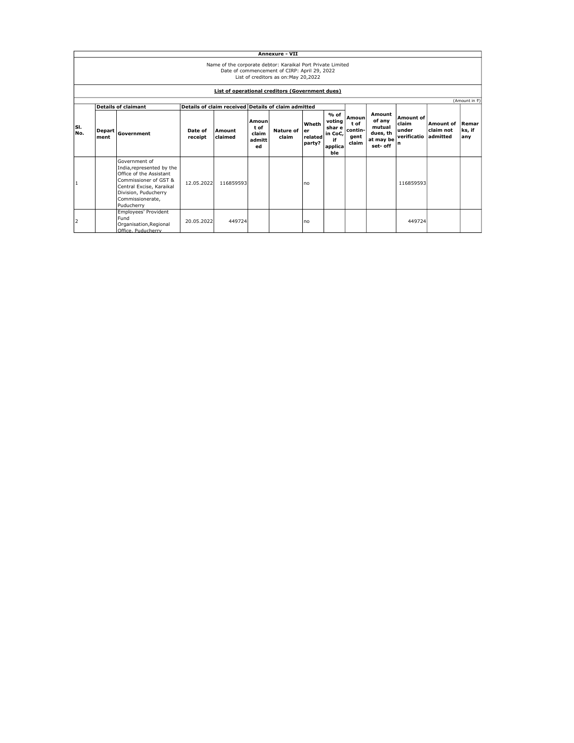|              | <b>Annexure - VII</b>                                                                                                                                                                                         |                                                                                                                                                                                      |                    |                                                                          |                                        |                        |                            |                                                               |                                          |                                                                 |                                                 |                                           |                        |
|--------------|---------------------------------------------------------------------------------------------------------------------------------------------------------------------------------------------------------------|--------------------------------------------------------------------------------------------------------------------------------------------------------------------------------------|--------------------|--------------------------------------------------------------------------|----------------------------------------|------------------------|----------------------------|---------------------------------------------------------------|------------------------------------------|-----------------------------------------------------------------|-------------------------------------------------|-------------------------------------------|------------------------|
|              | Name of the corporate debtor: Karaikal Port Private Limited<br>Date of commencement of CIRP: April 29, 2022<br>List of creditors as on: May 20,2022<br><b>List of operational creditors (Government dues)</b> |                                                                                                                                                                                      |                    |                                                                          |                                        |                        |                            |                                                               |                                          |                                                                 |                                                 |                                           |                        |
|              |                                                                                                                                                                                                               |                                                                                                                                                                                      |                    |                                                                          |                                        |                        |                            |                                                               |                                          |                                                                 |                                                 |                                           | (Amount in ₹)          |
| lsı.<br>N٥.  | <b>Depart</b><br>ment                                                                                                                                                                                         | <b>Details of claimant</b><br>Government                                                                                                                                             | Date of<br>receipt | Details of claim received Details of claim admitted<br>Amount<br>claimed | Amoun<br>t of<br>claim<br>admitt<br>ed | Nature of ler<br>claim | Wheth<br>related<br>party? | $%$ of<br>voting<br>shar e<br>in CoC,<br>if<br>applica<br>ble | Amoun<br>tof<br>contin-<br>gent<br>claim | Amount<br>of anv<br>mutual<br>dues, th<br>at may be<br>set- off | Amount of<br>claim<br>under<br>verificatio<br>n | <b>Amount of</b><br>claim not<br>admitted | Remar<br>ks, if<br>any |
| $\mathbf{1}$ |                                                                                                                                                                                                               | Government of<br>India, represented by the<br>Office of the Assistant<br>Commissioner of GST &<br>Central Excise, Karaikal<br>Division, Puducherry<br>Commissionerate,<br>Puducherry | 12.05.2022         | 116859593                                                                |                                        |                        | Ino                        |                                                               |                                          |                                                                 | 116859593                                       |                                           |                        |
| 2            |                                                                                                                                                                                                               | Employees' Provident<br>Fund<br>Organisation, Regional<br>Office. Puducherry                                                                                                         | 20.05.2022         | 449724                                                                   |                                        |                        | Ino                        |                                                               |                                          |                                                                 | 449724                                          |                                           |                        |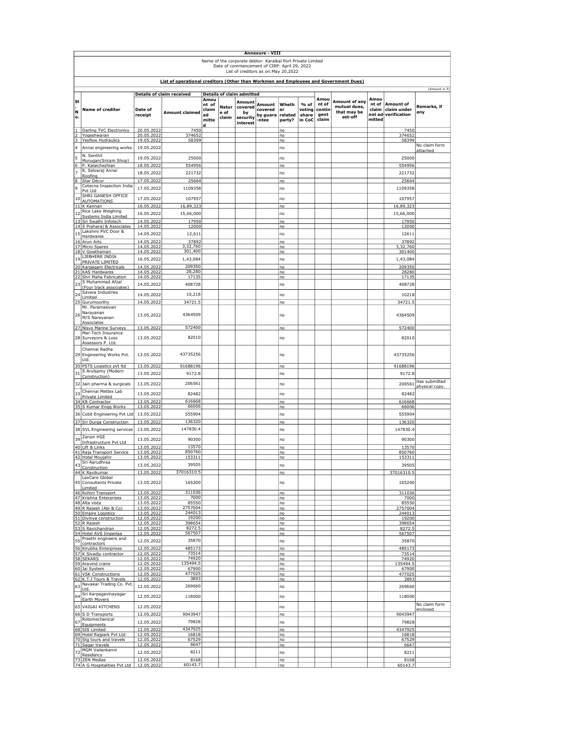|                         | Annexure - VIII<br>Name of the corporate debtor: Karaikal Port Private Limited<br>Date of commencement of CIRP: April 29, 2022<br>List of creditors as on: May 20, 2022 |                                 |                                                                                      |                                                   |                        |                                                                                     |                                        |                                  |                                   |                                          |                                                         |                                  |                                                 |                                 |
|-------------------------|-------------------------------------------------------------------------------------------------------------------------------------------------------------------------|---------------------------------|--------------------------------------------------------------------------------------|---------------------------------------------------|------------------------|-------------------------------------------------------------------------------------|----------------------------------------|----------------------------------|-----------------------------------|------------------------------------------|---------------------------------------------------------|----------------------------------|-------------------------------------------------|---------------------------------|
|                         |                                                                                                                                                                         |                                 | List of operational creditors (Other than Workmen and Employees and Government Dues) |                                                   |                        |                                                                                     |                                        |                                  |                                   |                                          |                                                         |                                  |                                                 |                                 |
|                         |                                                                                                                                                                         |                                 |                                                                                      |                                                   |                        |                                                                                     |                                        |                                  |                                   |                                          |                                                         |                                  |                                                 | (Amount in ₹)                   |
| SI<br>N<br>o.           | Name of creditor                                                                                                                                                        | Date of<br>receipt              | <b>Details of claim received</b><br><b>Amount claimed</b>                            | Amou<br>nt of<br>claim<br>ad<br>mitte<br><u>d</u> | Natur<br>e of<br>claim | <b>Details of claim admitted</b><br>Amount<br>covered<br>by<br>security<br>interest | Amount<br>covered<br>by guara<br>-ntee | Wheth<br>er<br>related<br>party? | % of<br>voting<br>share<br>in CoC | Amou<br>nt of<br>contin<br>gent<br>claim | Amount of any<br>mutual dues,<br>that may be<br>set-off | Amou<br>nt of<br>claim<br>mitted | Amount of<br>claim under<br>not ad-verification | Remarks, if<br>any              |
| $\overline{2}$          | 1 Darling TVC Electronics<br>Yogeshwaran                                                                                                                                | 20.05.2022<br>20.05.2022        | 7450<br>374652                                                                       |                                                   |                        |                                                                                     |                                        | no<br>no                         |                                   |                                          |                                                         |                                  | 7450<br>374652                                  |                                 |
| $\overline{\mathbf{3}}$ | <b>Yesflow Hydraulics</b>                                                                                                                                               | <u>19.05.2022</u>               | 58399                                                                                |                                                   |                        |                                                                                     |                                        | no                               |                                   |                                          |                                                         |                                  | 58399                                           | No claim form                   |
| 4                       | Annai engineering works                                                                                                                                                 | 19.05.2022                      |                                                                                      |                                                   |                        |                                                                                     |                                        | no                               |                                   |                                          |                                                         |                                  |                                                 | <u>attached</u>                 |
| 5                       | N. Senthil<br>Murugan(Sriram Shop)                                                                                                                                      | 19.05.2022                      | 25000                                                                                |                                                   |                        |                                                                                     |                                        | no                               |                                   |                                          |                                                         |                                  | 25000                                           |                                 |
| $6 \overline{}$         | P. Kalaichezhian<br>R. Selvaraj Annai                                                                                                                                   | 18.05.2022                      | 554956                                                                               |                                                   |                        |                                                                                     |                                        | no                               |                                   |                                          |                                                         |                                  | 554956                                          |                                 |
| $\overline{z}$<br>8     | Roofing                                                                                                                                                                 | 18.05.2022<br>17.05.2022        | 221732<br>25664                                                                      |                                                   |                        |                                                                                     |                                        | no<br>no                         |                                   |                                          |                                                         |                                  | 221732<br>25664                                 |                                 |
| 9                       | Star Décor<br>Cotecna Inspection India                                                                                                                                  | 17.05.2022                      | 1109358                                                                              |                                                   |                        |                                                                                     |                                        | no                               |                                   |                                          |                                                         |                                  | 1109358                                         |                                 |
|                         | Pvt Ltd<br>SHRI GANESH OFFICE                                                                                                                                           |                                 |                                                                                      |                                                   |                        |                                                                                     |                                        |                                  |                                   |                                          |                                                         |                                  |                                                 |                                 |
| 10                      | <b>AUTOMATIONS</b><br>11 K Kannan                                                                                                                                       | 17.05.2022<br>16.05.2022        | 107957<br>16,89,323                                                                  |                                                   |                        |                                                                                     |                                        | no<br>no                         |                                   |                                          |                                                         |                                  | 107957<br>16,89,323                             |                                 |
| 12                      | Rice Lake Weighing                                                                                                                                                      | 16.05.2022                      | 15,66,000                                                                            |                                                   |                        |                                                                                     |                                        | no                               |                                   |                                          |                                                         |                                  | 15,66,000                                       |                                 |
| 13                      | Systems India Limited<br>Sri Swathi Infotech                                                                                                                            | 14.05.2022                      | 17950                                                                                |                                                   |                        |                                                                                     |                                        | no                               |                                   |                                          |                                                         |                                  | 17950                                           |                                 |
|                         | 14 S Praharaj & Associates<br>Lakshmi PVC Door &                                                                                                                        | 14.05.2022                      | 12000                                                                                |                                                   |                        |                                                                                     |                                        | no                               |                                   |                                          |                                                         |                                  | 12000                                           |                                 |
| 15                      | Hardwares                                                                                                                                                               | 14.05.2022<br>14.05.2022        | 12,611<br>37892                                                                      |                                                   |                        |                                                                                     |                                        | no<br>no                         |                                   |                                          |                                                         |                                  | 12611<br>37892                                  |                                 |
|                         | 16 Arun Arts<br>17 Micro Spares                                                                                                                                         | 14.05.2022                      | 3,32,760                                                                             |                                                   |                        |                                                                                     |                                        | no                               |                                   |                                          |                                                         |                                  | 3,32,760                                        |                                 |
| 19                      | 18 V Gowthaman<br>LIEBHERR INDIA                                                                                                                                        | 14.05.2022                      | 301,400<br>1,43,084                                                                  |                                                   |                        |                                                                                     |                                        | no                               |                                   |                                          |                                                         |                                  | 301400                                          |                                 |
|                         | PRIVATE LIMITED<br>20 Karpagam Electricals                                                                                                                              | 16.05.2022<br><u>14.05.2022</u> | 209350                                                                               |                                                   |                        |                                                                                     |                                        | no<br>no                         |                                   |                                          |                                                         |                                  | 1,43,084<br>209350                              |                                 |
|                         | 21 KAS Hardwares                                                                                                                                                        | 14.05.2022                      | 28,280<br>17135                                                                      |                                                   |                        |                                                                                     |                                        | no                               |                                   |                                          |                                                         |                                  | 28280                                           |                                 |
| 23                      | 22 Shri Maha Fabrication<br>S Muhammad Afzal                                                                                                                            | 14.05.2022<br>14.05.2022        | 408728                                                                               |                                                   |                        |                                                                                     |                                        | no<br>no                         |                                   |                                          |                                                         |                                  | 17135<br>408728                                 |                                 |
|                         | (Four track associates)<br>Savera Industries                                                                                                                            |                                 |                                                                                      |                                                   |                        |                                                                                     |                                        |                                  |                                   |                                          |                                                         |                                  |                                                 |                                 |
| 24                      | Limited<br>25 Gurumoorthy                                                                                                                                               | 14.05.2022<br>14.05.2022        | 10,218<br>34721.5                                                                    |                                                   |                        |                                                                                     |                                        | no<br>no                         |                                   |                                          |                                                         |                                  | 10218<br>34721.5                                |                                 |
| 26                      | Mr. Paramasivan<br>Narayanan<br>M/S Narayanan                                                                                                                           | 13.05.2022                      | 4364509                                                                              |                                                   |                        |                                                                                     |                                        | no                               |                                   |                                          |                                                         |                                  | 4364509                                         |                                 |
| $\overline{27}$         | Associates<br>Nisvo Marine Surveys                                                                                                                                      | 13.05.2022                      | 572400                                                                               |                                                   |                        |                                                                                     |                                        | no                               |                                   |                                          |                                                         |                                  | 572400                                          |                                 |
|                         | Mar-Tech Insurance<br>28 Surveyors & Loss                                                                                                                               | 13.05.2022                      | 82010                                                                                |                                                   |                        |                                                                                     |                                        | no                               |                                   |                                          |                                                         |                                  | 82010                                           |                                 |
|                         | Assessors P. Ltd.<br>Chennai Radha<br>29 Engineering Works Pvt.                                                                                                         | 13.05.2022                      | 43735256                                                                             |                                                   |                        |                                                                                     |                                        | no                               |                                   |                                          |                                                         |                                  | 43735256                                        |                                 |
|                         | Ltd.                                                                                                                                                                    |                                 |                                                                                      |                                                   |                        |                                                                                     |                                        |                                  |                                   |                                          |                                                         |                                  |                                                 |                                 |
|                         | 30 PSTS Logistics pvt ltd                                                                                                                                               | 13.05.2022                      | 91688196                                                                             |                                                   |                        |                                                                                     |                                        | no                               |                                   |                                          |                                                         |                                  | 91688196                                        |                                 |
| 31                      | S Arulsamy (Modern<br>Construction)                                                                                                                                     | 13.05.2022                      | 9172.8                                                                               |                                                   |                        |                                                                                     |                                        | no                               |                                   |                                          |                                                         |                                  | 9172.8                                          |                                 |
|                         | 32 Jain pharma & surgicals                                                                                                                                              | 13.05.2022                      | 206561                                                                               |                                                   |                        |                                                                                     |                                        | no                               |                                   |                                          |                                                         |                                  | 206561                                          | Has submitted<br>physical copy. |
| 33                      | Chennai Mettex Lab<br>Private Limited                                                                                                                                   | 13.05.2022                      | 82482                                                                                |                                                   |                        |                                                                                     |                                        | no                               |                                   |                                          |                                                         |                                  | 82482                                           |                                 |
|                         | 34 KR Contractor                                                                                                                                                        | 13.05.2022                      | 616668<br>66006                                                                      |                                                   |                        |                                                                                     |                                        | no                               |                                   |                                          |                                                         |                                  | 616668                                          |                                 |
|                         | 35 S Kumar Engg Works<br>36 Cobit Engineering Pvt Ltd                                                                                                                   | 13.05.2022<br>13.05.2022        | 555904                                                                               |                                                   |                        |                                                                                     |                                        | no<br>no                         |                                   |                                          |                                                         |                                  | 66006<br>555904                                 |                                 |
|                         | 37 Sri Durga Construction                                                                                                                                               | 13.05.2022                      | 136320                                                                               |                                                   |                        |                                                                                     |                                        | no                               |                                   |                                          |                                                         |                                  | 136320                                          |                                 |
|                         | 38 SVL Engineering services                                                                                                                                             | 13.05.2022                      | 147830.4                                                                             |                                                   |                        |                                                                                     |                                        | no                               |                                   |                                          |                                                         |                                  | 147830.4                                        |                                 |
| 39                      | Zeroin HSE                                                                                                                                                              | 13.05.2022                      | 90300                                                                                |                                                   |                        |                                                                                     |                                        | no                               |                                   |                                          |                                                         |                                  | 90300                                           |                                 |
|                         | Infrastructure Pvt Ltd<br>40 Lift & Links                                                                                                                               | 13.05.2022                      | 13570                                                                                |                                                   |                        |                                                                                     |                                        | no                               |                                   |                                          |                                                         |                                  | 13570                                           |                                 |
|                         | 41 Raia Transport Service<br>42 Hotel Moujahir                                                                                                                          | 13.05.2022<br>13.05.2022        | 850760<br>153311                                                                     |                                                   |                        |                                                                                     |                                        | no<br>no                         |                                   |                                          |                                                         |                                  | 850760<br>153311                                |                                 |
| 43                      | Sri Aarudhraa<br>Construction                                                                                                                                           | 13.05.2022                      | 39505                                                                                |                                                   |                        |                                                                                     |                                        | no                               |                                   |                                          |                                                         |                                  | 39505                                           |                                 |
|                         | 44 K Ravikumar<br>LexCare Global                                                                                                                                        | 13.05.2022                      | 37016310.5                                                                           |                                                   |                        |                                                                                     |                                        | no                               |                                   |                                          |                                                         |                                  | <u>37016310.5</u>                               |                                 |
|                         | 45 Consultants Private                                                                                                                                                  | 13.05.2022                      | 165200                                                                               |                                                   |                        |                                                                                     |                                        | no                               |                                   |                                          |                                                         |                                  | 165200                                          |                                 |
|                         | Limited<br>46 Rohini Transport                                                                                                                                          | 13.05.2022                      | 311036                                                                               |                                                   |                        |                                                                                     |                                        | no                               |                                   |                                          |                                                         |                                  | 311036                                          |                                 |
|                         | 47 Krishna Enterprises<br>48 Alta vista                                                                                                                                 | <u>13.05.2022</u><br>13.05.2022 | 7000<br>85550                                                                        |                                                   |                        |                                                                                     |                                        | no<br>no                         |                                   |                                          |                                                         |                                  | 7000<br>85550                                   |                                 |
|                         | 49 R Rajesh (Abi & Co)<br>50 Empire Logistics                                                                                                                           | 13.05.2022<br>13.05.2022        | 2757004<br>244013                                                                    |                                                   |                        |                                                                                     |                                        | no<br>no                         |                                   |                                          |                                                         |                                  | 2757004<br>244013                               |                                 |
|                         | 51 Divinya construction                                                                                                                                                 | 12.05.2022                      | 19200                                                                                |                                                   |                        |                                                                                     |                                        | no                               |                                   |                                          |                                                         |                                  | 19200                                           |                                 |
|                         | 52 R Rajesh<br>53 S Ravichandran                                                                                                                                        | 12.05.2022<br>12.05.2022        | 398654<br>8272.5                                                                     |                                                   |                        |                                                                                     |                                        | no<br>no                         |                                   |                                          |                                                         |                                  | 398654<br>8272.5                                |                                 |
|                         | 54 Hotel AVS Imperiaa<br>55 Preethi engineers and                                                                                                                       | 12.05.2022                      | 567507                                                                               |                                                   |                        |                                                                                     |                                        | no                               |                                   |                                          |                                                         |                                  | 567507                                          |                                 |
|                         | contractors                                                                                                                                                             | 12.05.2022                      | 35870<br>485173                                                                      |                                                   |                        |                                                                                     |                                        | no                               |                                   |                                          |                                                         |                                  | 35870                                           |                                 |
|                         | 56 Kirubha Enterprises<br>57 K Sivadiv contractor                                                                                                                       | 12.05.2022<br>12.05.2022        | 73514                                                                                |                                                   |                        |                                                                                     |                                        | no<br>no                         |                                   |                                          |                                                         |                                  | 485173<br>73514                                 |                                 |
|                         | 58 SEKARS<br>59 Aravind crane                                                                                                                                           | 12.05.2022<br>12.05.2022        | 74920<br>135494.5                                                                    |                                                   |                        |                                                                                     |                                        | no<br>no                         |                                   |                                          |                                                         |                                  | 74920<br>135494.5                               |                                 |
|                         | 60 Jai System<br>61 VSK Constructions                                                                                                                                   | 12.05.2022<br>12.05.2022        | 67900<br>477025                                                                      |                                                   |                        |                                                                                     |                                        | no                               |                                   |                                          |                                                         |                                  | 67900<br>477025                                 |                                 |
|                         | 62 K.T.J Tours & Travels                                                                                                                                                | 12.05.2022                      | 3893                                                                                 |                                                   |                        |                                                                                     |                                        | no<br>no                         |                                   |                                          |                                                         |                                  | 3893                                            |                                 |
|                         | 63 Navakar Trading Co. Pvt.<br>Ltd.                                                                                                                                     | 12.05.2022                      | 269660                                                                               |                                                   |                        |                                                                                     |                                        | no                               |                                   |                                          |                                                         |                                  | 269660                                          |                                 |
| 64                      | Sri Karpagavinayagar<br>Earth Movers                                                                                                                                    | 12.05.2022                      | 118000                                                                               |                                                   |                        |                                                                                     |                                        | no                               |                                   |                                          |                                                         |                                  | 118000                                          |                                 |
|                         | 65 VAIGAI KITCHENS                                                                                                                                                      | 12.05.2022                      |                                                                                      |                                                   |                        |                                                                                     |                                        | no                               |                                   |                                          |                                                         |                                  |                                                 | No claim form                   |
|                         | 66 S D Transports                                                                                                                                                       | 12.05.2022                      | 9043947                                                                              |                                                   |                        |                                                                                     |                                        | no                               |                                   |                                          |                                                         |                                  | 9043947                                         | <u>enclosed.</u>                |
| 67                      | Rotomechanical<br>Equipments                                                                                                                                            | 12.05.2022                      | 79828                                                                                |                                                   |                        |                                                                                     |                                        | no                               |                                   |                                          |                                                         |                                  | 79828                                           |                                 |
|                         | 68 SIS Limited<br>69 Hotel Rajpark Pvt Ltd                                                                                                                              | 12.05.2022<br>12.05.2022        | 4347925<br>16818                                                                     |                                                   |                        |                                                                                     |                                        | no<br>no                         |                                   |                                          |                                                         |                                  | 4347925<br>16818                                |                                 |
|                         | 70 Stg tours and travels                                                                                                                                                | 12.05.2022                      | 67529                                                                                |                                                   |                        |                                                                                     |                                        | no                               |                                   |                                          |                                                         |                                  | 67529                                           |                                 |
|                         | 71 Sagar travels<br>72 MGM Vailankanni                                                                                                                                  | 12.05.2022<br>12.05.2022        | 6647<br>8211                                                                         |                                                   |                        |                                                                                     |                                        | no<br>no                         |                                   |                                          |                                                         |                                  | 6647<br>8211                                    |                                 |
|                         | Residency<br>73 ZEN Medias                                                                                                                                              | 12.05.2022                      | 8168                                                                                 |                                                   |                        |                                                                                     |                                        | no                               |                                   |                                          |                                                         |                                  | 8168                                            |                                 |
|                         | 74 A G Hospitalities Pvt Ltd                                                                                                                                            | 12.05.2022                      | 60143.7                                                                              |                                                   |                        |                                                                                     |                                        | no                               |                                   |                                          |                                                         |                                  | 60143.7                                         |                                 |